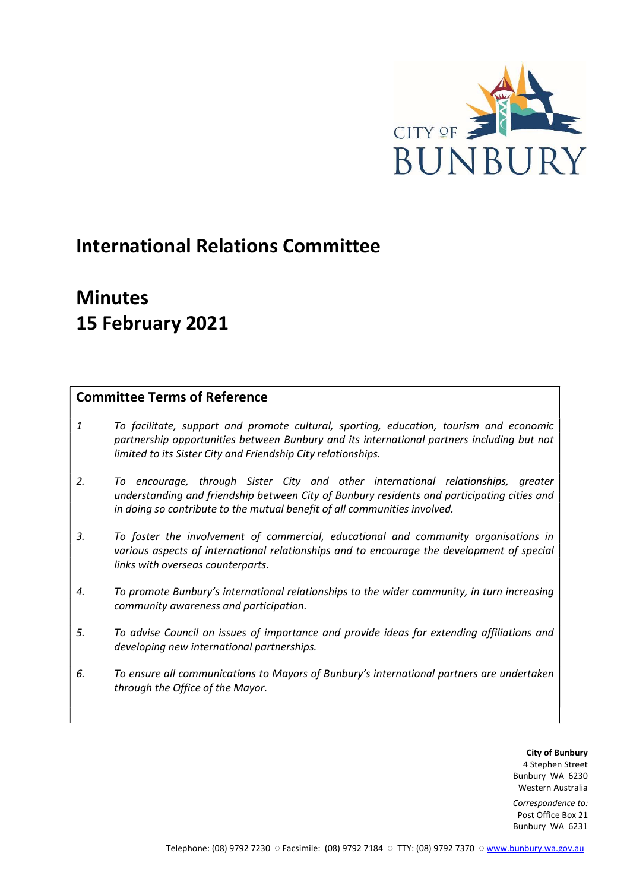

# International Relations Committee

# Minutes 15 February 2021

## Committee Terms of Reference

- 1 To facilitate, support and promote cultural, sporting, education, tourism and economic partnership opportunities between Bunbury and its international partners including but not limited to its Sister City and Friendship City relationships.
- 2. To encourage, through Sister City and other international relationships, greater understanding and friendship between City of Bunbury residents and participating cities and in doing so contribute to the mutual benefit of all communities involved.
- 3. To foster the involvement of commercial, educational and community organisations in various aspects of international relationships and to encourage the development of special links with overseas counterparts.
- 4. To promote Bunbury's international relationships to the wider community, in turn increasing community awareness and participation.
- 5. To advise Council on issues of importance and provide ideas for extending affiliations and developing new international partnerships.
- 6. To ensure all communications to Mayors of Bunbury's international partners are undertaken through the Office of the Mayor.

City of Bunbury 4 Stephen Street Bunbury WA 6230 Western Australia

Correspondence to: Post Office Box 21 Bunbury WA 6231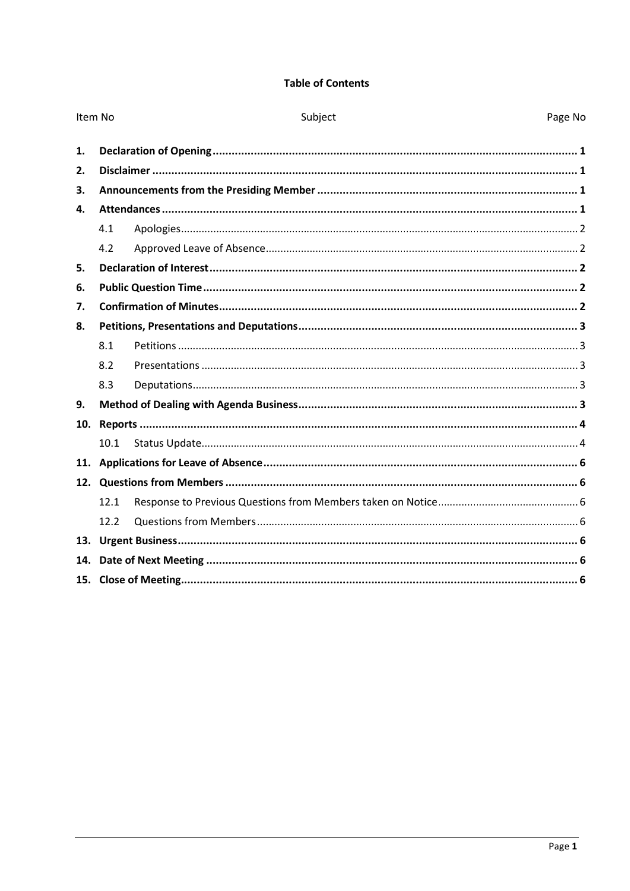## **Table of Contents**

| Item No      |      | Subject | Page No |
|--------------|------|---------|---------|
| 1.           |      |         |         |
| 2.           |      |         |         |
| 3.           |      |         |         |
| $\mathbf{4}$ |      |         |         |
|              | 4.1  |         |         |
|              | 4.2  |         |         |
| 5.           |      |         |         |
| 6.           |      |         |         |
|              |      |         |         |
| 7.           |      |         |         |
| 8.           |      |         |         |
|              | 8.1  |         |         |
|              | 8.2  |         |         |
|              | 8.3  |         |         |
| 9.           |      |         |         |
| 10.          |      |         |         |
|              | 10.1 |         |         |
|              |      |         |         |
|              |      |         |         |
|              | 12.1 |         |         |
|              | 12.2 |         |         |
|              |      |         |         |
| 14.          |      |         |         |
|              |      |         |         |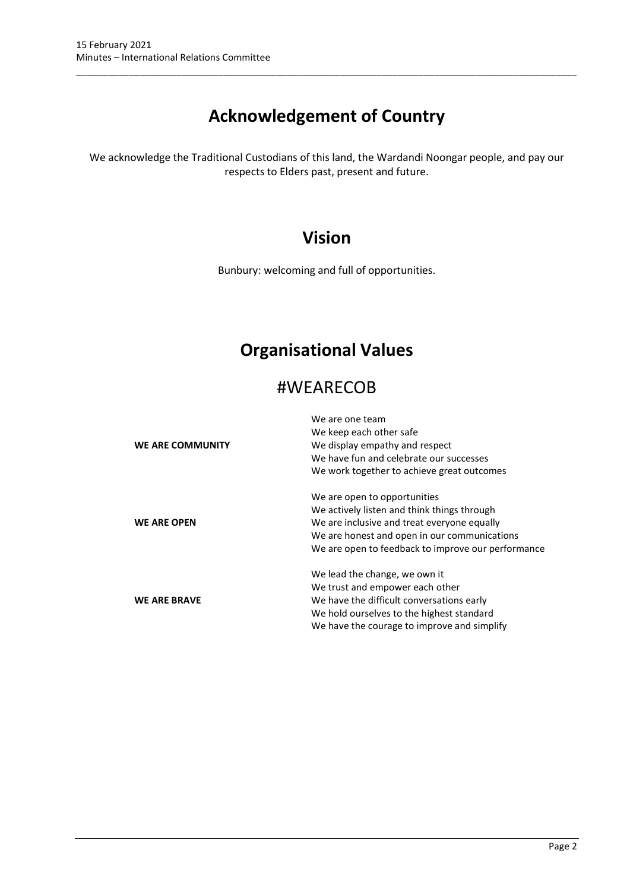# Acknowledgement of Country

\_\_\_\_\_\_\_\_\_\_\_\_\_\_\_\_\_\_\_\_\_\_\_\_\_\_\_\_\_\_\_\_\_\_\_\_\_\_\_\_\_\_\_\_\_\_\_\_\_\_\_\_\_\_\_\_\_\_\_\_\_\_\_\_\_\_\_\_\_\_\_\_\_\_\_\_\_\_\_\_\_\_\_\_\_\_\_\_\_\_\_\_\_\_\_

We acknowledge the Traditional Custodians of this land, the Wardandi Noongar people, and pay our respects to Elders past, present and future.

## Vision

Bunbury: welcoming and full of opportunities.

# Organisational Values

## #WEARECOB

|                     | We are one team                                    |
|---------------------|----------------------------------------------------|
|                     | We keep each other safe                            |
| WE ARE COMMUNITY    | We display empathy and respect                     |
|                     | We have fun and celebrate our successes            |
|                     | We work together to achieve great outcomes         |
|                     | We are open to opportunities                       |
|                     | We actively listen and think things through        |
| <b>WE ARE OPEN</b>  | We are inclusive and treat everyone equally        |
|                     | We are honest and open in our communications       |
|                     | We are open to feedback to improve our performance |
|                     | We lead the change, we own it                      |
|                     | We trust and empower each other                    |
| <b>WE ARE BRAVE</b> | We have the difficult conversations early          |
|                     | We hold ourselves to the highest standard          |
|                     | We have the courage to improve and simplify        |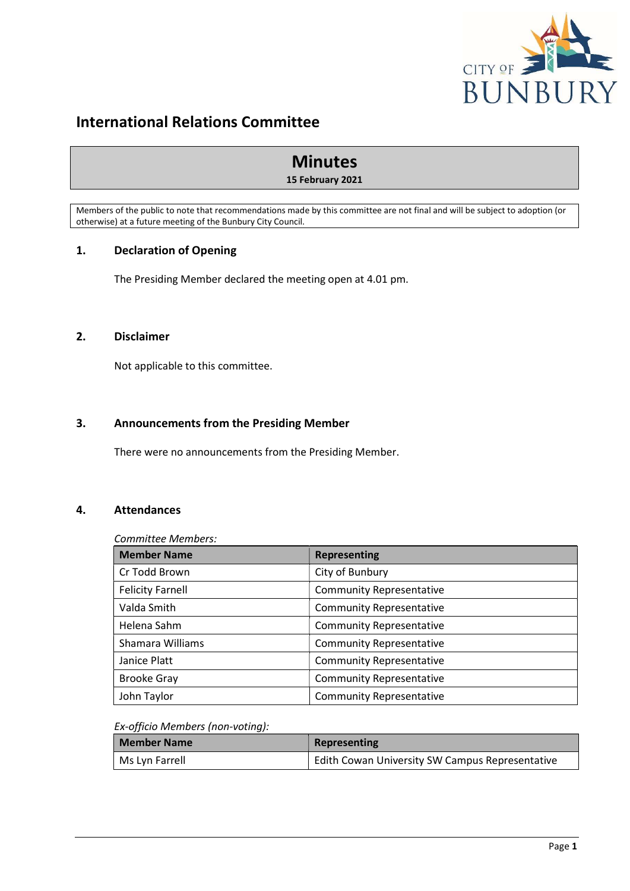

## International Relations Committee

## Minutes

## 15 February 2021

Members of the public to note that recommendations made by this committee are not final and will be subject to adoption (or otherwise) at a future meeting of the Bunbury City Council.

## 1. Declaration of Opening

The Presiding Member declared the meeting open at 4.01 pm.

## 2. Disclaimer

Not applicable to this committee.

## 3. Announcements from the Presiding Member

There were no announcements from the Presiding Member.

## 4. Attendances

## Committee Members:

| <b>Member Name</b>      | <b>Representing</b>             |  |  |  |
|-------------------------|---------------------------------|--|--|--|
| Cr Todd Brown           | City of Bunbury                 |  |  |  |
| <b>Felicity Farnell</b> | <b>Community Representative</b> |  |  |  |
| Valda Smith             | <b>Community Representative</b> |  |  |  |
| Helena Sahm             | <b>Community Representative</b> |  |  |  |
| Shamara Williams        | <b>Community Representative</b> |  |  |  |
| Janice Platt            | <b>Community Representative</b> |  |  |  |
| <b>Brooke Gray</b>      | <b>Community Representative</b> |  |  |  |
| John Taylor             | <b>Community Representative</b> |  |  |  |

## Ex-officio Members (non-voting):

| <b>Member Name</b> | Representing                                           |
|--------------------|--------------------------------------------------------|
| Ms Lyn Farrell     | <b>Edith Cowan University SW Campus Representative</b> |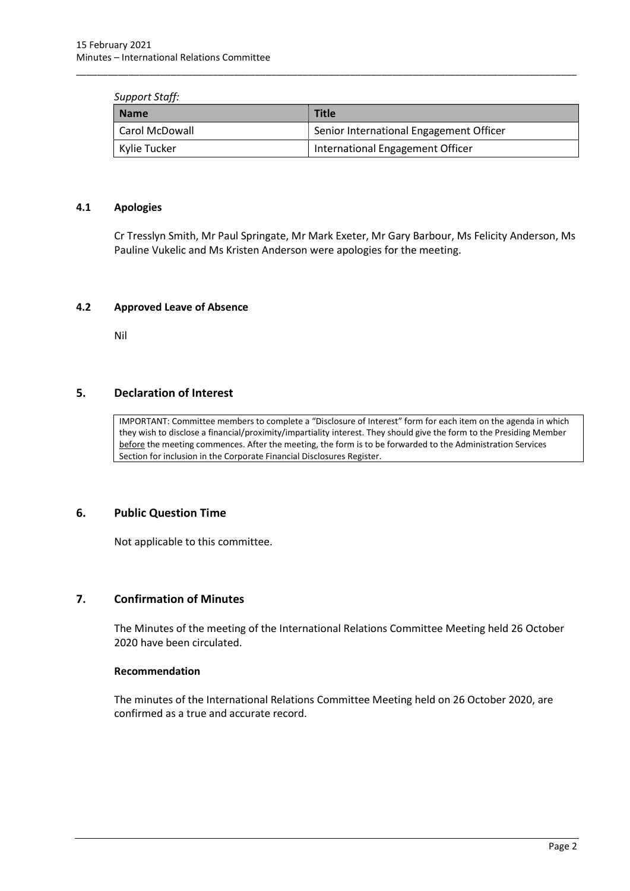#### Support Staff:

| <b>Name</b>    | <b>Title</b>                            |  |
|----------------|-----------------------------------------|--|
| Carol McDowall | Senior International Engagement Officer |  |
| Kylie Tucker   | International Engagement Officer        |  |

\_\_\_\_\_\_\_\_\_\_\_\_\_\_\_\_\_\_\_\_\_\_\_\_\_\_\_\_\_\_\_\_\_\_\_\_\_\_\_\_\_\_\_\_\_\_\_\_\_\_\_\_\_\_\_\_\_\_\_\_\_\_\_\_\_\_\_\_\_\_\_\_\_\_\_\_\_\_\_\_\_\_\_\_\_\_\_\_\_\_\_\_\_\_\_

## 4.1 Apologies

Cr Tresslyn Smith, Mr Paul Springate, Mr Mark Exeter, Mr Gary Barbour, Ms Felicity Anderson, Ms Pauline Vukelic and Ms Kristen Anderson were apologies for the meeting.

#### 4.2 Approved Leave of Absence

Nil

## 5. Declaration of Interest

IMPORTANT: Committee members to complete a "Disclosure of Interest" form for each item on the agenda in which they wish to disclose a financial/proximity/impartiality interest. They should give the form to the Presiding Member before the meeting commences. After the meeting, the form is to be forwarded to the Administration Services Section for inclusion in the Corporate Financial Disclosures Register.

## 6. Public Question Time

Not applicable to this committee.

## 7. Confirmation of Minutes

The Minutes of the meeting of the International Relations Committee Meeting held 26 October 2020 have been circulated.

#### Recommendation

The minutes of the International Relations Committee Meeting held on 26 October 2020, are confirmed as a true and accurate record.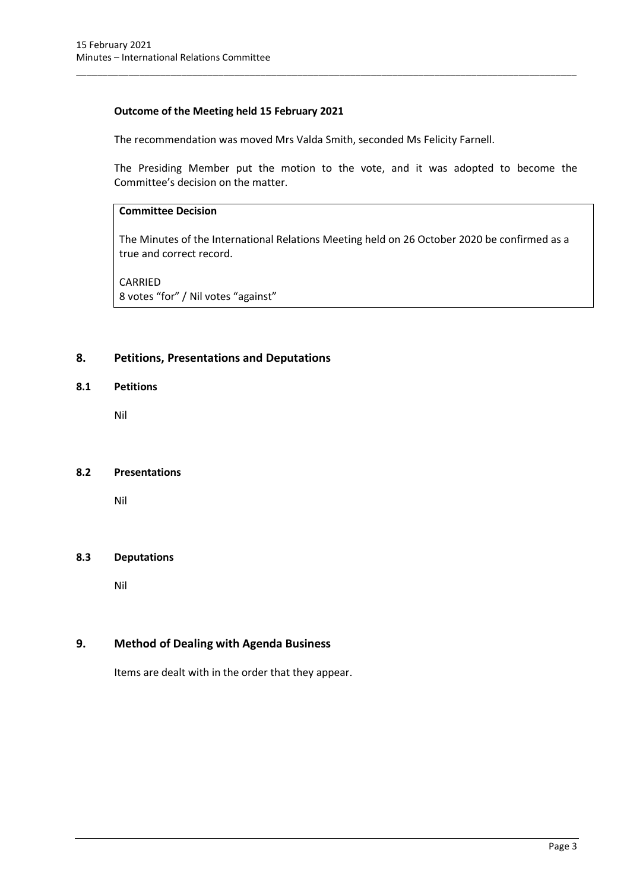## Outcome of the Meeting held 15 February 2021

The recommendation was moved Mrs Valda Smith, seconded Ms Felicity Farnell.

\_\_\_\_\_\_\_\_\_\_\_\_\_\_\_\_\_\_\_\_\_\_\_\_\_\_\_\_\_\_\_\_\_\_\_\_\_\_\_\_\_\_\_\_\_\_\_\_\_\_\_\_\_\_\_\_\_\_\_\_\_\_\_\_\_\_\_\_\_\_\_\_\_\_\_\_\_\_\_\_\_\_\_\_\_\_\_\_\_\_\_\_\_\_\_

The Presiding Member put the motion to the vote, and it was adopted to become the Committee's decision on the matter.

## Committee Decision

The Minutes of the International Relations Meeting held on 26 October 2020 be confirmed as a true and correct record.

CARRIED 8 votes "for" / Nil votes "against"

## 8. Petitions, Presentations and Deputations

## 8.1 Petitions

Nil

## 8.2 Presentations

Nil

## 8.3 Deputations

Nil

## 9. Method of Dealing with Agenda Business

Items are dealt with in the order that they appear.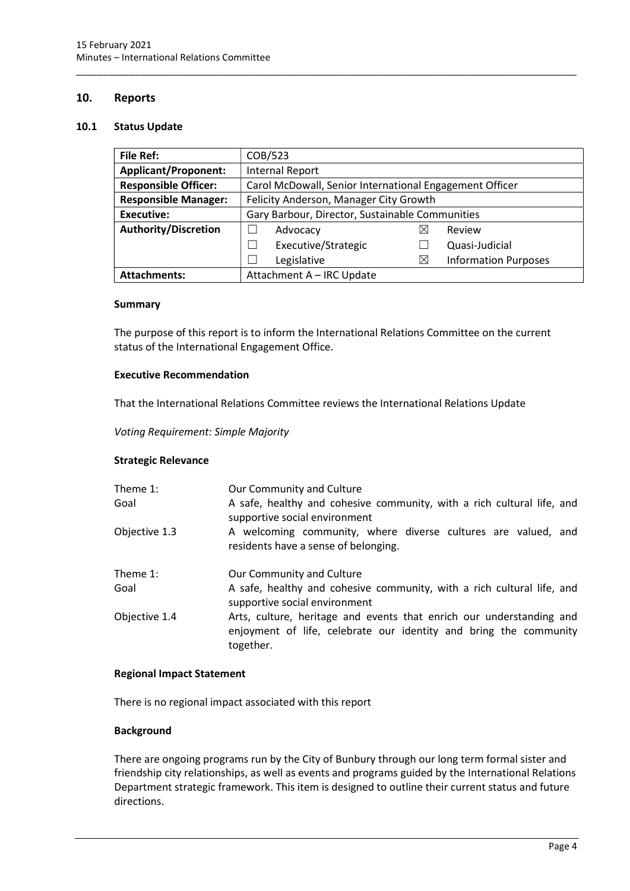## 10. Reports

#### 10.1 Status Update

| <b>File Ref:</b>            | COB/523                                                 |   |                             |  |
|-----------------------------|---------------------------------------------------------|---|-----------------------------|--|
| <b>Applicant/Proponent:</b> | <b>Internal Report</b>                                  |   |                             |  |
| <b>Responsible Officer:</b> | Carol McDowall, Senior International Engagement Officer |   |                             |  |
| <b>Responsible Manager:</b> | Felicity Anderson, Manager City Growth                  |   |                             |  |
| Executive:                  | Gary Barbour, Director, Sustainable Communities         |   |                             |  |
| <b>Authority/Discretion</b> | Advocacy                                                | ⋈ | Review                      |  |
|                             | Executive/Strategic                                     |   | Quasi-Judicial              |  |
|                             | Legislative                                             | X | <b>Information Purposes</b> |  |
| <b>Attachments:</b>         | Attachment A - IRC Update                               |   |                             |  |

\_\_\_\_\_\_\_\_\_\_\_\_\_\_\_\_\_\_\_\_\_\_\_\_\_\_\_\_\_\_\_\_\_\_\_\_\_\_\_\_\_\_\_\_\_\_\_\_\_\_\_\_\_\_\_\_\_\_\_\_\_\_\_\_\_\_\_\_\_\_\_\_\_\_\_\_\_\_\_\_\_\_\_\_\_\_\_\_\_\_\_\_\_\_\_

#### **Summary**

The purpose of this report is to inform the International Relations Committee on the current status of the International Engagement Office.

#### Executive Recommendation

That the International Relations Committee reviews the International Relations Update

Voting Requirement: Simple Majority

## Strategic Relevance

| Theme 1:<br>Goal | Our Community and Culture<br>A safe, healthy and cohesive community, with a rich cultural life, and<br>supportive social environment                   |
|------------------|--------------------------------------------------------------------------------------------------------------------------------------------------------|
| Objective 1.3    | A welcoming community, where diverse cultures are valued, and<br>residents have a sense of belonging.                                                  |
| Theme 1:         | Our Community and Culture                                                                                                                              |
| Goal             | A safe, healthy and cohesive community, with a rich cultural life, and<br>supportive social environment                                                |
| Objective 1.4    | Arts, culture, heritage and events that enrich our understanding and<br>enjoyment of life, celebrate our identity and bring the community<br>together. |

#### Regional Impact Statement

There is no regional impact associated with this report

## **Background**

There are ongoing programs run by the City of Bunbury through our long term formal sister and friendship city relationships, as well as events and programs guided by the International Relations Department strategic framework. This item is designed to outline their current status and future directions.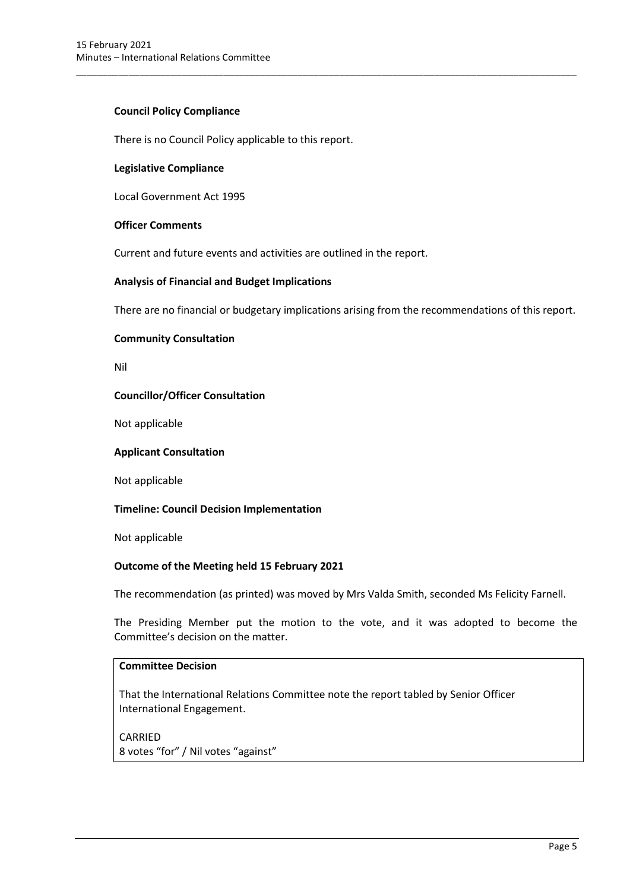## Council Policy Compliance

There is no Council Policy applicable to this report.

## Legislative Compliance

Local Government Act 1995

## Officer Comments

Current and future events and activities are outlined in the report.

## Analysis of Financial and Budget Implications

There are no financial or budgetary implications arising from the recommendations of this report.

\_\_\_\_\_\_\_\_\_\_\_\_\_\_\_\_\_\_\_\_\_\_\_\_\_\_\_\_\_\_\_\_\_\_\_\_\_\_\_\_\_\_\_\_\_\_\_\_\_\_\_\_\_\_\_\_\_\_\_\_\_\_\_\_\_\_\_\_\_\_\_\_\_\_\_\_\_\_\_\_\_\_\_\_\_\_\_\_\_\_\_\_\_\_\_

## Community Consultation

Nil

## Councillor/Officer Consultation

Not applicable

## Applicant Consultation

Not applicable

## Timeline: Council Decision Implementation

Not applicable

## Outcome of the Meeting held 15 February 2021

The recommendation (as printed) was moved by Mrs Valda Smith, seconded Ms Felicity Farnell.

The Presiding Member put the motion to the vote, and it was adopted to become the Committee's decision on the matter.

## Committee Decision

That the International Relations Committee note the report tabled by Senior Officer International Engagement.

CARRIED 8 votes "for" / Nil votes "against"